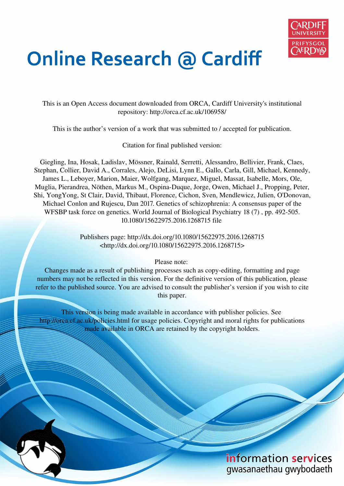

# **Online Research @ Cardiff**

This is an Open Access document downloaded from ORCA, Cardiff University's institutional repository: http://orca.cf.ac.uk/106958/

This is the author's version of a work that was submitted to / accepted for publication.

Citation for final published version:

Giegling, Ina, Hosak, Ladislav, Mössner, Rainald, Serretti, Alessandro, Bellivier, Frank, Claes, Stephan, Collier, David A., Corrales, Alejo, DeLisi, Lynn E., Gallo, Carla, Gill, Michael, Kennedy, James L., Leboyer, Marion, Maier, Wolfgang, Marquez, Miguel, Massat, Isabelle, Mors, Ole, Muglia, Pierandrea, Nöthen, Markus M., Ospina-Duque, Jorge, Owen, Michael J., Propping, Peter, Shi, YongYong, St Clair, David, Thibaut, Florence, Cichon, Sven, Mendlewicz, Julien, O'Donovan, Michael Conlon and Rujescu, Dan 2017. Genetics of schizophrenia: A consensus paper of the WFSBP task force on genetics. World Journal of Biological Psychiatry 18 (7), pp. 492-505. 10.1080/15622975.2016.1268715 file

> Publishers page: http://dx.doi.org/10.1080/15622975.2016.1268715 <http://dx.doi.org/10.1080/15622975.2016.1268715>

> > Please note:

Changes made as a result of publishing processes such as copy-editing, formatting and page numbers may not be reflected in this version. For the definitive version of this publication, please refer to the published source. You are advised to consult the publisher's version if you wish to cite this paper.

This version is being made available in accordance with publisher policies. See http://orca.cf.ac.uk/policies.html for usage policies. Copyright and moral rights for publications made available in ORCA are retained by the copyright holders.



information services gwasanaethau gwybodaeth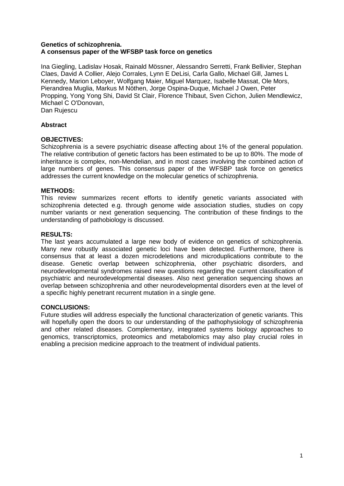# **Genetics of schizophrenia. A consensus paper of the WFSBP task force on genetics**

Ina Giegling, Ladislav Hosak, Rainald Mössner, Alessandro Serretti, Frank Bellivier, Stephan Claes, David A Collier, Alejo Corrales, Lynn E DeLisi, Carla Gallo, Michael Gill, James L Kennedy, Marion Leboyer, Wolfgang Maier, Miguel Marquez, Isabelle Massat, Ole Mors, Pierandrea Muglia, Markus M Nöthen, Jorge Ospina-Duque, Michael J Owen, Peter Propping, Yong Yong Shi, David St Clair, Florence Thibaut, Sven Cichon, Julien Mendlewicz, Michael C O'Donovan,

Dan Rujescu

# **Abstract**

# **OBJECTIVES:**

Schizophrenia is a severe psychiatric disease affecting about 1% of the general population. The relative contribution of genetic factors has been estimated to be up to 80%. The mode of inheritance is complex, non-Mendelian, and in most cases involving the combined action of large numbers of genes. This consensus paper of the WFSBP task force on genetics addresses the current knowledge on the molecular genetics of schizophrenia.

# **METHODS:**

This review summarizes recent efforts to identify genetic variants associated with schizophrenia detected e.g. through genome wide association studies, studies on copy number variants or next generation sequencing. The contribution of these findings to the understanding of pathobiology is discussed.

# **RESULTS:**

The last years accumulated a large new body of evidence on genetics of schizophrenia. Many new robustly associated genetic loci have been detected. Furthermore, there is consensus that at least a dozen microdeletions and microduplications contribute to the disease. Genetic overlap between schizophrenia, other psychiatric disorders, and neurodevelopmental syndromes raised new questions regarding the current classification of psychiatric and neurodevelopmental diseases. Also next generation sequencing shows an overlap between schizophrenia and other neurodevelopmental disorders even at the level of a specific highly penetrant recurrent mutation in a single gene.

# **CONCLUSIONS:**

Future studies will address especially the functional characterization of genetic variants. This will hopefully open the doors to our understanding of the pathophysiology of schizophrenia and other related diseases. Complementary, integrated systems biology approaches to genomics, transcriptomics, proteomics and metabolomics may also play crucial roles in enabling a precision medicine approach to the treatment of individual patients.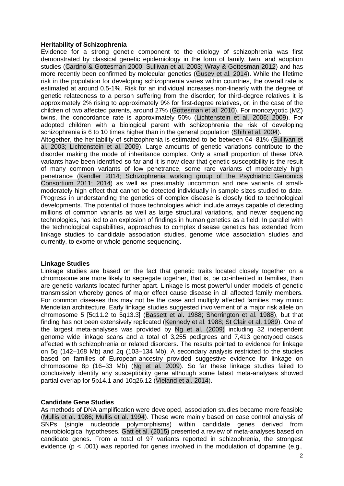# **Heritability of Schizophrenia**

Evidence for a strong genetic component to the etiology of schizophrenia was first demonstrated by classical genetic epidemiology in the form of family, twin, and adoption studies (Cardno & Gottesman 2000; Sullivan et al. 2003; Wray & Gottesman 2012) and has more recently been confirmed by molecular genetics (Gusev et al. 2014). While the lifetime risk in the population for developing schizophrenia varies within countries, the overall rate is estimated at around 0.5-1%. Risk for an individual increases non-linearly with the degree of genetic relatedness to a person suffering from the disorder; for third-degree relatives it is approximately 2% rising to approximately 9% for first-degree relatives, or, in the case of the children of two affected parents, around 27% (Gottesman et al. 2010). For monozygotic (MZ) twins, the concordance rate is approximately 50% (Lichtenstein et al. 2006; 2009). For adopted children with a biological parent with schizophrenia the risk of developing schizophrenia is 6 to 10 times higher than in the general population (Shih et al. 2004). Altogether, the heritability of schizophrenia is estimated to be between 64–81% (Sullivan et

al. 2003; Lichtenstein et al. 2009). Large amounts of genetic variations contribute to the disorder making the mode of inheritance complex. Only a small proportion of these DNA variants have been identified so far and it is now clear that genetic susceptibility is the result of many common variants of low penetrance, some rare variants of moderately high penetrance (Kendler 2014; Schizophrenia working group of the Psychiatric Genomics Consortium 2011; 2014) as well as presumably uncommon and rare variants of smallmoderately high effect that cannot be detected individually in sample sizes studied to date. Progress in understanding the genetics of complex disease is closely tied to technological developments. The potential of those technologies which include arrays capable of detecting millions of common variants as well as large structural variations, and newer sequencing technologies, has led to an explosion of findings in human genetics as a field. In parallel with the technological capabilities, approaches to complex disease genetics has extended from linkage studies to candidate association studies, genome wide association studies and currently, to exome or whole genome sequencing.

#### **Linkage Studies**

Linkage studies are based on the fact that genetic traits located closely together on a chromosome are more likely to segregate together, that is, be co-inherited in families, than are genetic variants located further apart. Linkage is most powerful under models of genetic transmission whereby genes of major effect cause disease in all affected family members. For common diseases this may not be the case and multiply affected families may mimic Mendelian architecture. Early linkage studies suggested involvement of a major risk allele on chromosome 5 [5q11.2 to 5q13.3] (Bassett et al. 1988; Sherrington et al. 1988), but that finding has not been extensively replicated (Kennedy et al. 1988; St Clair et al. 1989). One of the largest meta-analyses was provided by Ng et al. (2009) including 32 independent genome wide linkage scans and a total of 3,255 pedigrees and 7,413 genotyped cases affected with schizophrenia or related disorders. The results pointed to evidence for linkage on 5q (142–168 Mb) and 2q (103–134 Mb). A secondary analysis restricted to the studies based on families of European-ancestry provided suggestive evidence for linkage on chromosome 8p (16–33 Mb) (Ng et al. 2009). So far these linkage studies failed to conclusively identify any susceptibility gene although some latest meta-analyses showed partial overlap for 5p14.1 and 10q26.12 (Vieland et al. 2014).

# **Candidate Gene Studies**

As methods of DNA amplification were developed, association studies became more feasible (Mullis et al. 1986; Mullis et al. 1994). These were mainly based on case control analysis of SNPs (single nucleotide polymorphisms) within candidate genes derived from neurobiological hypotheses. Gatt et al. (2015) presented a review of meta-analyses based on candidate genes. From a total of 97 variants reported in schizophrenia, the strongest evidence ( $p < .001$ ) was reported for genes involved in the modulation of dopamine (e.g.,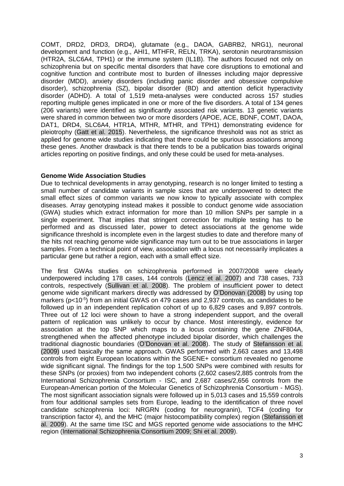COMT, DRD2, DRD3, DRD4), glutamate (e.g., DAOA, GABRB2, NRG1), neuronal development and function (e.g., AHI1, MTHFR, RELN, TRKA), serotonin neurotransmission (HTR2A, SLC6A4, TPH1) or the immune system (IL1B). The authors focused not only on schizophrenia but on specific mental disorders that have core disruptions to emotional and cognitive function and contribute most to burden of illnesses including major depressive disorder (MDD), anxiety disorders (including panic disorder and obsessive compulsive disorder), schizophrenia (SZ), bipolar disorder (BD) and attention deficit hyperactivity disorder (ADHD). A total of 1,519 meta-analyses were conducted across 157 studies reporting multiple genes implicated in one or more of the five disorders. A total of 134 genes (206 variants) were identified as significantly associated risk variants. 13 genetic variants were shared in common between two or more disorders (APOE, ACE, BDNF, COMT, DAOA, DAT1, DRD4, SLC6A4, HTR1A, MTHR, MTHR, and TPH1) demonstrating evidence for pleiotrophy (Gatt et al. 2015). Nevertheless, the significance threshold was not as strict as applied for genome wide studies indicating that there could be spurious associations among these genes. Another drawback is that there tends to be a publication bias towards original articles reporting on positive findings, and only these could be used for meta-analyses.

# **Genome Wide Association Studies**

Due to technical developments in array genotyping, research is no longer limited to testing a small number of candidate variants in sample sizes that are underpowered to detect the small effect sizes of common variants we now know to typically associate with complex diseases. Array genotyping instead makes it possible to conduct genome wide association (GWA) studies which extract information for more than 10 million SNPs per sample in a single experiment. That implies that stringent correction for multiple testing has to be performed and as discussed later, power to detect associations at the genome wide significance threshold is incomplete even in the largest studies to date and therefore many of the hits not reaching genome wide significance may turn out to be true associations in larger samples. From a technical point of view, association with a locus not necessarily implicates a particular gene but rather a region, each with a small effect size.

The first GWAs studies on schizophrenia performed in 2007/2008 were clearly underpowered including 178 cases, 144 controls (Lencz et al. 2007) and 738 cases, 733 controls, respectively (Sullivan et al. 2008). The problem of insufficient power to detect genome wide significant markers directly was addressed by O'Donovan (2008) by using top markers ( $p$ <10 $5$ ) from an initial GWAS on 479 cases and 2,937 controls, as candidates to be followed up in an independent replication cohort of up to 6,829 cases and 9,897 controls. Three out of 12 loci were shown to have a strong independent support, and the overall pattern of replication was unlikely to occur by chance. Most interestingly, evidence for association at the top SNP which maps to a locus containing the gene ZNF804A, strengthened when the affected phenotype included bipolar disorder, which challenges the traditional diagnostic boundaries (O'Donovan et al. 2008). The study of Stefansson et al. (2009) used basically the same approach. GWAS performed with 2,663 cases and 13,498 controls from eight European locations within the SGENE+ consortium revealed no genome wide significant signal. The findings for the top 1,500 SNPs were combined with results for these SNPs (or proxies) from two independent cohorts (2,602 cases/2,885 controls from the International Schizophrenia Consortium - ISC, and 2,687 cases/2,656 controls from the European-American portion of the Molecular Genetics of Schizophrenia Consortium - MGS). The most significant association signals were followed up in 5,013 cases and 15,559 controls from four additional samples sets from Europe, leading to the identification of three novel candidate schizophrenia loci: NRGRN (coding for neurogranin), TCF4 (coding for transcription factor 4), and the MHC (major histocompatibility complex) region (Stefansson et al. 2009). At the same time ISC and MGS reported genome wide associations to the MHC region (International Schizophrenia Consortium 2009; Shi et al. 2009).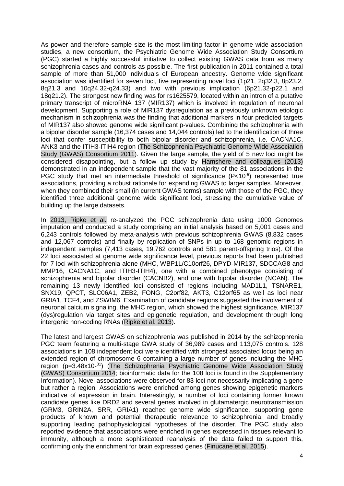As power and therefore sample size is the most limiting factor in genome wide association studies, a new consortium, the Psychiatric Genome Wide Association Study Consortium (PGC) started a highly successful initiative to collect existing GWAS data from as many schizophrenia cases and controls as possible. The first publication in 2011 contained a total sample of more than 51,000 individuals of European ancestry. Genome wide significant association was identified for seven loci, five representing novel loci (1p21, 2q32.3, 8p23.2, 8q21.3 and 10q24.32-q24.33) and two with previous implication (6p21.32-p22.1 and 18q21.2). The strongest new finding was for rs1625579, located within an intron of a putative primary transcript of microRNA 137 (MIR137) which is involved in regulation of neuronal development. Supporting a role of MIR137 dysregulation as a previously unknown etiologic mechanism in schizophrenia was the finding that additional markers in four predicted targets of MIR137 also showed genome wide significant p-values. Combining the schizophrenia with a bipolar disorder sample (16,374 cases and 14,044 controls) led to the identification of three loci that confer susceptibility to both bipolar disorder and schizophrenia, i.e. CACNA1C, ANK3 and the ITIH3-ITIH4 region (The Schizophrenia Psychiatric Genome Wide Association Study (GWAS) Consortium 2011). Given the large sample, the yield of 5 new loci might be considered disappointing, but a follow up study by Hamshere and colleagues (2013) demonstrated in an independent sample that the vast majority of the 81 associations in the PGC study that met an intermediate threshold of significance (P<10<sup>-5</sup>) represented true associations, providing a robust rationale for expanding GWAS to larger samples. Moreover, when they combined their small (in current GWAS terms) sample with those of the PGC, they identified three additional genome wide significant loci, stressing the cumulative value of building up the large datasets.

In 2013, Ripke et al. re-analyzed the PGC schizophrenia data using 1000 Genomes imputation and conducted a study comprising an initial analysis based on 5,001 cases and 6,243 controls followed by meta-analysis with previous schizophrenia GWAS (8,832 cases and 12,067 controls) and finally by replication of SNPs in up to 168 genomic regions in independent samples (7,413 cases, 19,762 controls and 581 parent-offspring trios). Of the 22 loci associated at genome wide significance level, previous reports had been published for 7 loci with schizophrenia alone (MHC, WBP1L/C10orf26, DPYD-MIR137, SDCCAG8 and MMP16, CACNA1C, and ITIH3-ITIH4), one with a combined phenotype consisting of schizophrenia and bipolar disorder (CACNB2), and one with bipolar disorder (NCAN). The remaining 13 newly identified loci consisted of regions including MAD1L1, TSNARE1, SNX19, QPCT, SLC06A1, ZEB2, FONG, C2orf82, AKT3, C12orf65 as well as loci near GRIA1, TCF4, and ZSWIM6. Examination of candidate regions suggested the involvement of neuronal calcium signaling, the MHC region, which showed the highest significance, MIR137 (dys)regulation via target sites and epigenetic regulation, and development through long intergenic non-coding RNAs (Ripke et al. 2013).

The latest and largest GWAS on schizophrenia was published in 2014 by the schizophrenia PGC team featuring a multi-stage GWA study of 36,989 cases and 113,075 controls. 128 associations in 108 independent loci were identified with strongest associated locus being an extended region of chromosome 6 containing a large number of genes including the MHC region (p=3.48x10-<sup>31</sup>) (The Schizophrenia Psychiatric Genome Wide Association Study (GWAS) Consortium 2014; bioinformatic data for the 108 loci is found in the Supplementary Information). Novel associations were observed for 83 loci not necessarily implicating a gene but rather a region. Associations were enriched among genes showing epigenetic markers indicative of expression in brain. Interestingly, a number of loci containing former known candidate genes like DRD2 and several genes involved in glutamatergic neurotransmission (GRM3, GRIN2A, SRR, GRIA1) reached genome wide significance, supporting gene products of known and potential therapeutic relevance to schizophrenia, and broadly supporting leading pathophysiological hypotheses of the disorder. The PGC study also reported evidence that associations were enriched in genes expressed in tissues relevant to immunity, although a more sophisticated reanalysis of the data failed to support this, confirming only the enrichment for brain expressed genes (Finucane et al. 2015).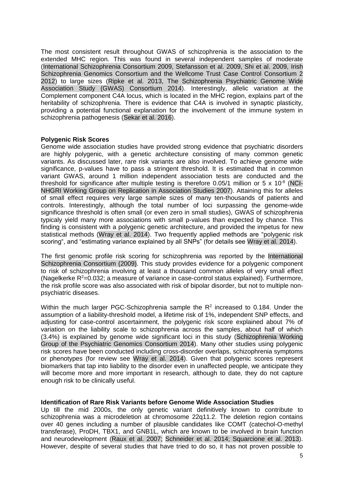The most consistent result throughout GWAS of schizophrenia is the association to the extended MHC region. This was found in several independent samples of moderate (International Schizophrenia Consortium 2009, Stefansson et al. 2009, Shi et al. 2009, Irish Schizophrenia Genomics Consortium and the Wellcome Trust Case Control Consortium 2 2012) to large sizes (Ripke et al. 2013, The Schizophrenia Psychiatric Genome Wide Association Study (GWAS) Consortium 2014). Interestingly, allelic variation at the Complement component C4A locus, which is located in the MHC region, explains part of the heritability of schizophrenia. There is evidence that C4A is involved in synaptic plasticity, providing a potential functional explanation for the involvement of the immune system in schizophrenia pathogenesis (Sekar et al. 2016).

# **Polygenic Risk Scores**

Genome wide association studies have provided strong evidence that psychiatric disorders are highly polygenic, with a genetic architecture consisting of many common genetic variants. As discussed later, rare risk variants are also involved. To achieve genome wide significance, p-values have to pass a stringent threshold. It is estimated that in common variant GWAS, around 1 million independent association tests are conducted and the threshold for significance after multiple testing is therefore 0.05/1 million or 5  $\times$  10<sup>-8</sup> (NCI-NHGRI Working Group on Replication in Association Studies 2007). Attaining this for alleles of small effect requires very large sample sizes of many ten-thousands of patients and controls. Interestingly, although the total number of loci surpassing the genome-wide significance threshold is often small (or even zero in small studies), GWAS of schizophrenia typicaly yield many more associations with small p-values than expected by chance. This finding is consistent with a polygenic genetic architecture, and provided the impetus for new statistical methods (Wray et al. 2014). Two frequently applied methods are "polygenic risk scoring", and "estimating variance explained by all SNPs" (for details see Wray et al. 2014).

The first genomic profile risk scoring for schizophrenia was reported by the International Schizophrenia Consortium (2009). This study provides evidence for a polygenic component to risk of schizophrenia involving at least a thousand common alleles of very small effect (Nagelkerke  $R^2$ =0.032; a measure of variance in case-control status explained). Furthermore, the risk profile score was also associated with risk of bipolar disorder, but not to multiple nonpsychiatric diseases.

Within the much larger PGC-Schizophrenia sample the  $R<sup>2</sup>$  increased to 0.184. Under the assumption of a liability-threshold model, a lifetime risk of 1%, independent SNP effects, and adjusting for case-control ascertainment, the polygenic risk score explained about 7% of variation on the liability scale to schizophrenia across the samples, about half of which (3.4%) is explained by genome wide significant loci in this study (Schizophrenia Working Group of the Psychiatric Genomics Consortium 2014). Many other studies using polygenic risk scores have been conducted including cross-disorder overlaps, schizophrenia symptoms or phenotypes (for review see Wray et al. 2014). Given that polygenic scores represent biomarkers that tap into liability to the disorder even in unaffected people, we anticipate they will become more and more important in research, although to date, they do not capture enough risk to be clinically useful.

# **Identification of Rare Risk Variants before Genome Wide Association Studies**

Up till the mid 2000s, the only genetic variant definitively known to contribute to schizophrenia was a microdeletion at chromosome 22q11.2. The deletion region contains over 40 genes including a number of plausible candidates like COMT (catechol-O-methyl transferase), ProDH, TBX1, and GNB1L, which are known to be involved in brain function and neurodevelopment (Raux et al. 2007; Schneider et al. 2014; Squarcione et al. 2013). However, despite of several studies that have tried to do so, it has not proven possible to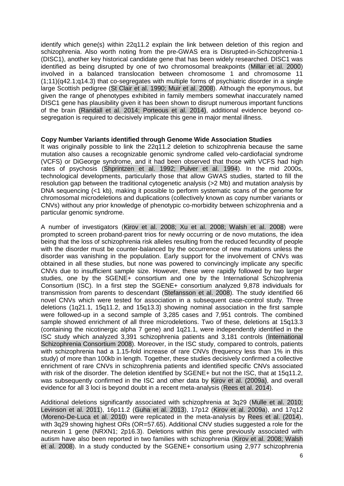identify which gene(s) within 22q11.2 explain the link between deletion of this region and schizophrenia. Also worth noting from the pre-GWAS era is Disrupted-in-Schizophrenia-1 (DISC1), another key historical candidate gene that has been widely researched. DISC1 was identified as being disrupted by one of two chromosomal breakpoints (Millar et al. 2000) involved in a balanced translocation between chromosome 1 and chromosome 11 (1;11)(q42.1;q14.3) that co-segregates with multiple forms of psychiatric disorder in a single large Scottish pedigree (St Clair et al. 1990; Muir et al. 2008). Although the eponymous, but given the range of phenotypes exhibited in family members somewhat inaccurately named DISC1 gene has plausibility given it has been shown to disrupt numerous important functions of the brain (Randall et al. 2014; Porteous et al. 2014), additional evidence beyond cosegregation is required to decisively implicate this gene in major mental illness.

# **Copy Number Variants identified through Genome Wide Association Studies**

It was originally possible to link the 22q11.2 deletion to schizophrenia because the same mutation also causes a recognizable genomic syndrome called velo-cardiofacial syndrome (VCFS) or DiGeorge syndrome, and it had been observed that those with VCFS had high rates of psychosis (Shprintzen et al. 1992; Pulver et al. 1994). In the mid 2000s, technological developments, particularly those that allow GWAS studies, started to fill the resolution gap between the traditional cytogenetic analysis (>2 Mb) and mutation analysis by DNA sequencing (<1 kb), making it possible to perform systematic scans of the genome for chromosomal microdeletions and duplications (collectively known as copy number variants or CNVs) without any prior knowledge of phenotypic co-morbidity between schizophrenia and a particular genomic syndrome.

A number of investigators (Kirov et al. 2008; Xu et al. 2008; Walsh et al. 2008) were prompted to screen proband-parent trios for newly occurring or de novo mutations, the idea being that the loss of schizophrenia risk alleles resulting from the reduced fecundity of people with the disorder must be counter-balanced by the occurrence of new mutations unless the disorder was vanishing in the population. Early support for the involvement of CNVs was obtained in all these studies, but none was powered to convincingly implicate any specific CNVs due to insufficient sample size. However, these were rapidly followed by two larger studies, one by the SGENE+ consortium and one by the International Schizophrenia Consortium (ISC). In a first step the SGENE+ consortium analyzed 9,878 individuals for transmission from parents to descendant (Stefansson et al. 2008). The study identified 66 novel CNVs which were tested for association in a subsequent case-control study. Three deletions (1q21.1, 15q11.2, and 15q13.3) showing nominal association in the first sample were followed-up in a second sample of 3,285 cases and 7,951 controls. The combined sample showed enrichment of all three microdeletions. Two of these, deletions at 15q13.3 (containing the nicotinergic alpha 7 gene) and 1q21.1, were independently identified in the ISC study which analyzed 3,391 schizophrenia patients and 3,181 controls (International Schizophrenia Consortium 2008). Moreover, in the ISC study, compared to controls, patients with schizophrenia had a 1.15-fold increase of rare CNVs (frequency less than 1% in this study) of more than 100kb in length. Together, these studies decisively confirmed a collective enrichment of rare CNVs in schizophrenia patients and identified specific CNVs associated with risk of the disorder. The deletion identified by SGENE+ but not the ISC, that at 15q11.2, was subsequently confirmed in the ISC and other data by Kirov et al. (2009a), and overall evidence for all 3 loci is beyond doubt in a recent meta-analysis (Rees et al. 2014).

Additional deletions significantly associated with schizophrenia at 3q29 (Mulle et al. 2010; Levinson et al. 2011), 16p11.2 (Guha et al. 2013), 17p12 (Kirov et al. 2009a), and 17q12 (Moreno-De-Luca et al. 2010) were replicated in the meta-analysis by Rees et al. (2014), with 3q29 showing highest ORs (OR=57.65). Additional CNV studies suggested a role for the neurexin 1 gene (NRXN1; 2p16.3). Deletions within this gene previously associated with autism have also been reported in two families with schizophrenia (Kirov et al. 2008; Walsh et al. 2008). In a study conducted by the SGENE+ consortium using 2,977 schizophrenia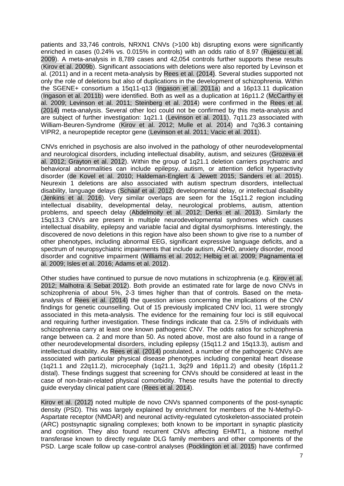patients and 33,746 controls, NRXN1 CNVs (>100 kb) disrupting exons were significantly enriched in cases (0.24% vs. 0.015% in controls) with an odds ratio of 8.97 (Rujescu et al. 2009). A meta-analysis in 8,789 cases and 42,054 controls further supports these results (Kirov et al. 2009b). Significant associations with deletions were also reported by Levinson et al. (2011) and in a recent meta-analysis by Rees et al. (2014). Several studies supported not only the role of deletions but also of duplications in the development of schizophrenia. Within the SGENE+ consortium a 15q11-q13 (Ingason et al. 2011a) and a 16p13.11 duplication (Ingason et al. 2011b) were identified. Both as well as a duplication at 16p11.2 (McCarthy et al. 2009; Levinson et al. 2011; Steinberg et al. 2014) were confirmed in the Rees et al. (2014) meta-analysis. Several other loci could not be confirmed by this meta-analysis and are subject of further investigation: 1q21.1 (Levinson et al. 2011), 7q11.23 associated with William-Beuren-Syndrome (Kirov et al. 2012; Mulle et al. 2014) and 7q36.3 containing VIPR2, a neuropeptide receptor gene (Levinson et al. 2011; Vacic et al. 2011).

CNVs enriched in psychosis are also involved in the pathology of other neurodevelopmental and neurological disorders, including intellectual disability, autism, and seizures (Grozeva et al. 2012; Grayton et al. 2012). Within the group of 1q21.1 deletion carriers psychiatric and behavioral abnormalities can include epilepsy, autism, or attention deficit hyperactivity disorder (de Kovel et al. 2010; Haldeman-Englert & Jewett 2015; Sanders et al. 2015). Neurexin 1 deletions are also associated with autism spectrum disorders, intellectual disability, language delays (Schaaf et al. 2012) developmental delay, or intellectual disability (Jenkins et al. 2016). Very similar overlaps are seen for the 15q11.2 region including intellectual disability, developmental delay, neurological problems, autism, attention problems, and speech delay (Abdelmoity et al. 2012; Derks et al. 2013). Similarly the 15q13.3 CNVs are present in multiple neurodevelopmental syndromes which causes intellectual disability, epilepsy and variable facial and digital dysmorphisms. Interestingly, the discovered de novo deletions in this region have also been shown to give rise to a number of other phenotypes, including abnormal EEG, significant expressive language deficits, and a spectrum of neuropsychiatric impairments that include autism, ADHD, anxiety disorder, mood disorder and cognitive impairment (Williams et al. 2012; Helbig et al. 2009; Pagnamenta et al. 2009; Isles et al. 2016; Adams et al. 2012).

Other studies have continued to pursue de novo mutations in schizophrenia (e.g. Kirov et al. 2012; Malhotra & Sebat 2012). Both provide an estimated rate for large de novo CNVs in schizophrenia of about 5%, 2-3 times higher than that of controls. Based on the metaanalysis of Rees et al. (2014) the question arises concerning the implications of the CNV findings for genetic counselling. Out of 15 previously implicated CNV loci, 11 were strongly associated in this meta-analysis. The evidence for the remaining four loci is still equivocal and requiring further investigation. These findings indicate that ca. 2.5% of individuals with schizophrenia carry at least one known pathogenic CNV. The odds ratios for schizophrenia range between ca. 2 and more than 50. As noted above, most are also found in a range of other neurodevelopmental disorders, including epilepsy (15q11.2 and 15q13.3), autism and intellectual disability. As Rees et al. (2014) postulated, a number of the pathogenic CNVs are associated with particular physical disease phenotypes including congenital heart disease (1q21.1 and 22q11.2), microcephaly (1q21.1, 3q29 and 16p11.2) and obesity (16p11.2 distal). These findings suggest that screening for CNVs should be considered at least in the case of non-brain-related physical comorbidity. These results have the potential to directly guide everyday clinical patient care (Rees et al. 2014).

Kirov et al. (2012) noted multiple de novo CNVs spanned components of the post-synaptic density (PSD). This was largely explained by enrichment for members of the N-Methyl-D-Aspartate receptor (NMDAR) and neuronal activity-regulated cytoskeleton-associated protein (ARC) postsynaptic signaling complexes; both known to be important in synaptic plasticity and cognition. They also found recurrent CNVs affecting EHMT1, a histone methyl transferase known to directly regulate DLG family members and other components of the PSD. Large scale follow up case-control analyses (Pocklington et al. 2015) have confirmed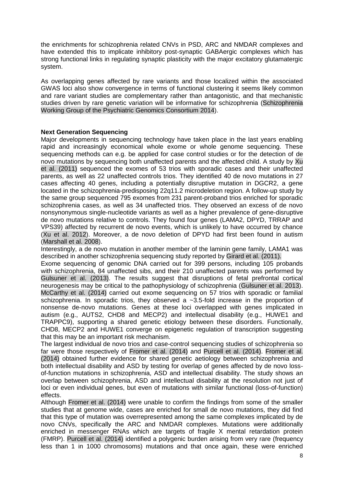the enrichments for schizophrenia related CNVs in PSD, ARC and NMDAR complexes and have extended this to implicate inhibitory post-synaptic GABAergic complexes which has strong functional links in regulating synaptic plasticity with the major excitatory glutamatergic system.

As overlapping genes affected by rare variants and those localized within the associated GWAS loci also show convergence in terms of functional clustering it seems likely common and rare variant studies are complementary rather than antagonistic, and that mechanistic studies driven by rare genetic variation will be informative for schizophrenia (Schizophrenia Working Group of the Psychiatric Genomics Consortium 2014).

# **Next Generation Sequencing**

Major developments in sequencing technology have taken place in the last years enabling rapid and increasingly economical whole exome or whole genome sequencing. These sequencing methods can e.g. be applied for case control studies or for the detection of de novo mutations by sequencing both unaffected parents and the affected child. A study by Xu et al. (2011) sequenced the exomes of 53 trios with sporadic cases and their unaffected parents, as well as 22 unaffected controls trios. They identified 40 de novo mutations in 27 cases affecting 40 genes, including a potentially disruptive mutation in DGCR2, a gene located in the schizophrenia-predisposing 22q11.2 microdeletion region. A follow-up study by the same group sequenced 795 exomes from 231 parent-proband trios enriched for sporadic schizophrenia cases, as well as 34 unaffected trios. They observed an excess of de novo nonsynonymous single-nucleotide variants as well as a higher prevalence of gene-disruptive de novo mutations relative to controls. They found four genes (LAMA2, DPYD, TRRAP and VPS39) affected by recurrent de novo events, which is unlikely to have occurred by chance (Xu et al. 2012). Moreover, a de novo deletion of DPYD had first been found in autism (Marshall et al. 2008).

Interestingly, a de novo mutation in another member of the laminin gene family, LAMA1 was described in another schizophrenia sequencing study reported by Girard et al. (2011).

Exome sequencing of genomic DNA carried out for 399 persons, including 105 probands with schizophrenia, 84 unaffected sibs, and their 210 unaffected parents was performed by Gulsuner et al. (2013). The results suggest that disruptions of fetal prefrontal cortical neurogenesis may be critical to the pathophysiology of schizophrenia (Gulsuner et al. 2013). McCarthy et al. (2014) carried out exome sequencing on 57 trios with sporadic or familial schizophrenia. In sporadic trios, they observed a  $\sim$ 3.5-fold increase in the proportion of nonsense de-novo mutations. Genes at these loci overlapped with genes implicated in autism (e.g., AUTS2, CHD8 and MECP2) and intellectual disability (e.g., HUWE1 and TRAPPC9), supporting a shared genetic etiology between these disorders. Functionally, CHD8, MECP2 and HUWE1 converge on epigenetic regulation of transcription suggesting that this may be an important risk mechanism.

The largest individual de novo trios and case-control sequencing studies of schizophrenia so far were those respectively of Fromer et al. (2014) and Purcell et al. (2014). Fromer et al. (2014) obtained further evidence for shared genetic aetiology between schizophrenia and both intellectual disability and ASD by testing for overlap of genes affected by de novo lossof-function mutations in schizophrenia, ASD and intellectual disability. The study shows an overlap between schizophrenia, ASD and intellectual disability at the resolution not just of loci or even individual genes, but even of mutations with similar functional (loss-of-function) effects.

Although Fromer et al. (2014) were unable to confirm the findings from some of the smaller studies that at genome wide, cases are enriched for small de novo mutations, they did find that this type of mutation was overrepresented among the same complexes implicated by de novo CNVs, specifically the ARC and NMDAR complexes. Mutations were additionally enriched in messenger RNAs which are targets of fragile X mental retardation protein (FMRP). Purcell et al. (2014) identified a polygenic burden arising from very rare (frequency less than 1 in 1000 chromosoms) mutations and that once again, these were enriched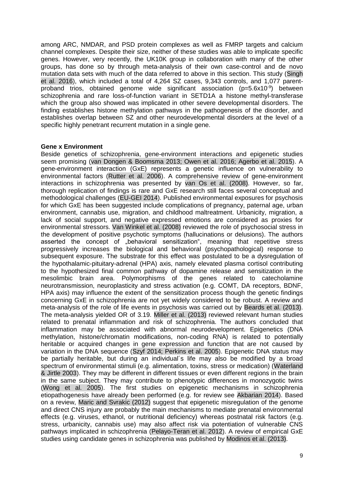among ARC, NMDAR, and PSD protein complexes as well as FMRP targets and calcium channel complexes. Despite their size, neither of these studies was able to implicate specific genes. However, very recently, the UK10K group in collaboration with many of the other groups, has done so by through meta-analysis of their own case-control and de novo mutation data sets with much of the data referred to above in this section. This study (Singh et al. 2016), which included a total of 4,264 SZ cases, 9,343 controls, and 1,077 parentproband trios, obtained genome wide significant association ( $p=5.6x10^{-9}$ ) between schizophrenia and rare loss-of-function variant in SETD1A a histone methyl-transferase which the group also showed was implicated in other severe developmental disorders. The finding establishes histone methylation pathways in the pathogenesis of the disorder, and establishes overlap between SZ and other neurodevelopmental disorders at the level of a specific highly penetrant recurrent mutation in a single gene.

# **Gene x Environment**

Beside genetics of schizophrenia, gene-environment interactions and epigenetic studies seem promising (van Dongen & Boomsma 2013; Owen et al. 2016; Agerbo et al. 2015). A gene-environment interaction (GxE) represents a genetic influence on vulnerability to environmental factors (Rutter et al. 2006). A comprehensive review of gene-environment interactions in schizophrenia was presented by van Os et al. (2008). However, so far, thorough replication of findings is rare and GxE research still faces several conceptual and methodological challenges (EU-GEI 2014). Published environmental exposures for psychosis for which GxE has been suggested include complications of pregnancy, paternal age, urban environment, cannabis use, migration, and childhood maltreatment. Urbanicity, migration, a lack of social support, and negative expressed emotions are considered as proxies for environmental stressors. Van Winkel et al. (2008) reviewed the role of psychosocial stress in the development of positive psychotic symptoms (hallucinations or delusions). The authors asserted the concept of "behavioral sensitization", meaning that repetitive stress progressively increases the biological and behavioral (psychopathological) response to subsequent exposure. The substrate for this effect was postulated to be a dysregulation of the hypothalamic-pituitary-adrenal (HPA) axis, namely elevated plasma cortisol contributing to the hypothesized final common pathway of dopamine release and sensitization in the mesolimbic brain area. Polymorphisms of the genes related to catecholamine neurotransmission, neuroplasticity and stress activation (e.g. COMT, DA receptors, BDNF, HPA axis) may influence the extent of the sensitization process though the genetic findings concerning GxE in schizophrenia are not yet widely considered to be robust. A review and meta-analysis of the role of life events in psychosis was carried out by Beards et al. (2013). The meta-analysis yielded OR of 3.19. Miller et al. (2013) reviewed relevant human studies related to prenatal inflammation and risk of schizophrenia. The authors concluded that inflammation may be associated with abnormal neurodevelopment. Epigenetics (DNA methylation, histone/chromatin modifications, non-coding RNA) is related to potentially heritable or acquired changes in gene expression and function that are not caused by variation in the DNA sequence (Szyf 2014; Perkins et al. 2005). Epigenetic DNA status may be partially heritable, but during an individual´s life may also be modified by a broad spectrum of environmental stimuli (e.g. alimentation, toxins, stress or medication) (Waterland & Jirtle 2003). They may be different in different tissues or even different regions in the brain in the same subject. They may contribute to phenotypic differences in monozygotic twins (Wong et al. 2005). The first studies on epigenetic mechanisms in schizophrenia etiopathogenesis have already been performed (e.g. for review see Akbarian 2014). Based on a review, Maric and Svrakic (2012) suggest that epigenetic misregulation of the genome and direct CNS injury are probably the main mechanisms to mediate prenatal environmental effects (e.g. viruses, ethanol, or nutritional deficiency) whereas postnatal risk factors (e.g. stress, urbanicity, cannabis use) may also affect risk via potentiation of vulnerable CNS pathways implicated in schizophrenia (Pelayo-Teran et al. 2012). A review of empirical GxE studies using candidate genes in schizophrenia was published by Modinos et al. (2013).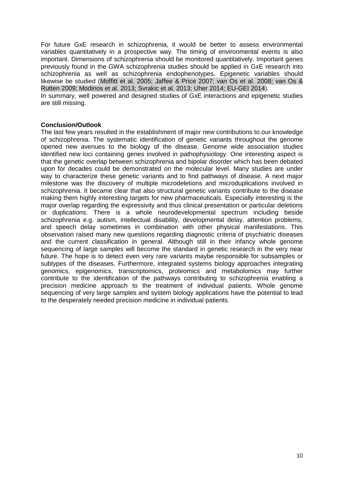For future GxE research in schizophrenia, it would be better to assess environmental variables quantitatively in a prospective way. The timing of environmental events is also important. Dimensions of schizophrenia should be monitored quantitatively. Important genes previously found in the GWA schizophrenia studies should be applied in GxE research into schizophrenia as well as schizophrenia endophenotypes. Epigenetic variables should likewise be studied (Moffitt et al. 2005; Jaffee & Price 2007; van Os et al. 2008; van Os & Rutten 2009; Modinos et al. 2013; Svrakic et al. 2013; Uher 2014; EU-GEI 2014).

In summary, well powered and designed studies of GxE interactions and epigenetic studies are still missing.

# **Conclusion/Outlook**

The last few years resulted in the establishment of major new contributions to our knowledge of schizophrenia. The systematic identification of genetic variants throughout the genome opened new avenues to the biology of the disease. Genome wide association studies identified new loci containing genes involved in pathophysiology. One interesting aspect is that the genetic overlap between schizophrenia and bipolar disorder which has been debated upon for decades could be demonstrated on the molecular level. Many studies are under way to characterize these genetic variants and to find pathways of disease. A next major milestone was the discovery of multiple microdeletions and microduplications involved in schizophrenia. It became clear that also structural genetic variants contribute to the disease making them highly interesting targets for new pharmaceuticals. Especially interesting is the major overlap regarding the expressivity and thus clinical presentation or particular deletions or duplications. There is a whole neurodevelopmental spectrum including beside schizophrenia e.g. autism, intellectual disability, developmental delay, attention problems, and speech delay sometimes in combination with other physical manifestations. This observation raised many new questions regarding diagnostic criteria of psychiatric diseases and the current classification in general. Although still in their infancy whole genome sequencing of large samples will become the standard in genetic research in the very near future. The hope is to detect even very rare variants maybe responsible for subsamples or subtypes of the diseases. Furthermore, integrated systems biology approaches integrating genomics, epigenomics, transcriptomics, proteomics and metabolomics may further contribute to the identification of the pathways contributing to schizophrenia enabling a precision medicine approach to the treatment of individual patients. Whole genome sequencing of very large samples and system biology applications have the potential to lead to the desperately needed precision medicine in individual patients.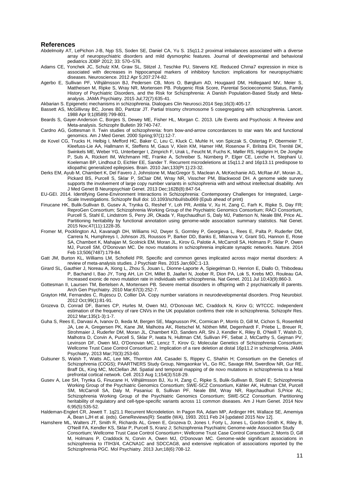#### **References**

- Abdelmoity AT, LePichon J-B, Nyp SS, Soden SE, Daniel CA, Yu S. 15q11.2 proximal imbalances associated with a diverse array of neuropsychiatric disorders and mild dysmorphic features. Journal of developmental and behavioral pediatrics JDBP 2012; 33: 570–576.
- Adams CE, Yonchek JC, Schulz KM, Graw SL, Stitzel J, Teschke PU, Stevens KE. Reduced Chrna7 expression in mice is associated with decreases in hippocampal markers of inhibitory function: implications for neuropsychiatric diseases. Neuroscience. 2012 Apr 5;207:274-82.
- Agerbo E, Sullivan PF, Vilhjálmsson BJ, Pedersen CB, Mors O, Børglum AD, Hougaard DM, Hollegaard MV, Meier S, Mattheisen M, Ripke S, Wray NR, Mortensen PB. Polygenic Risk Score, Parental Socioeconomic Status, Family History of Psychiatric Disorders, and the Risk for Schizophrenia: A Danish Population-Based Study and Metaanalysis. JAMA Psychiatry. 2015 Jul;72(7):635-41.
- Akbarian S. Epigenetic mechanisms in schizophrenia. Dialogues Clin Neurosci.2014 Sep;16(3):405-17.
- Bassett AS, McGillivray BC, Jones BD, Pantzar JT. Partial trisomy chromosome 5 cosegregating with schizophrenia. Lancet. 1988 Apr 9;1(8589):799-801.
- Beards S, Gayer-Anderson C, Borges S, Dewey ME, Fisher HL, Morgan C. 2013. Life Events and Psychosis: A Review and Meta-analysis. Schizophr Bulletin 39:740-747.
- Cardno AG, Gottesman II. Twin studies of schizophrenia: from bow-and-arrow concordances to star wars Mx and functional genomics. Am J Med Genet. 2000 Spring;97(1):12-7.
- de Kovel CG, Trucks H, Helbig I, Mefford HC, Baker C, Leu C, Kluck C, Muhle H, von Spiczak S, Ostertag P, Obermeier T, Kleefuss-Lie AA, Hallmann K, Steffens M, Gaus V, Klein KM, Hamer HM, Rosenow F, Brilstra EH, Trenité DK, Swinkels ME, Weber YG, Unterberger I, Zimprich F, Urak L, Feucht M, Fuchs K, Møller RS, Hjalgrim H, De Jonghe P, Suls A, Rückert IM, Wichmann HE, Franke A, Schreiber S, Nürnberg P, Elger CE, Lerche H, Stephani U, Koeleman BP, Lindhout D, Eichler EE, Sander T. Recurrent microdeletions at 15q11.2 and 16p13.11 predispose to idiopathic generalized epilepsies. Brain. 2010 Jan;133(Pt 1):23-32.
- Derks EM, Ayub M, Chambert K, Del Favero J, Johnstone M, MacGregor S, Maclean A, McKechanie AG, McRae AF, Moran JL, Pickard BS, Purcell S, Sklar P, StClair DM, Wray NR, Visscher PM, Blackwood DH. A genome wide survey supports the involvement of large copy number variants in schizophrenia with and without intellectual disability. Am J Med Genet B Neuropsychiatr Genet. 2013 Dec;162B(8):847-54.
- EU-GEI. 2014. Identifying Gene-Environment Interactions in Schizophrenia: Contemporary Challenges for Integrated, Large-Scale Investigations. Schizophr Bull doi: 10.1093/schbul/sbu069 (Epub ahead of print)
- Finucane HK, Bulik-Sullivan B, Gusev A, Trynka G, Reshef Y, Loh PR, Anttila V, Xu H, Zang C, Farh K, Ripke S, Day FR; ReproGen Consortium; Schizophrenia Working Group of the Psychiatric Genomics Consortium; RACI Consortium, Purcell S, Stahl E, Lindstrom S, Perry JR, Okada Y, Raychaudhuri S, Daly MJ, Patterson N, Neale BM, Price AL. Partitioning heritability by functional annotation using genome-wide association summary statistics. Nat Genet. 2015 Nov;47(11):1228-35.
- Fromer M, Pocklington AJ, Kavanagh DH, Williams HJ, Dwyer S, Gormley P, Georgieva L, Rees E, Palta P, Ruderfer DM, Carrera N, Humphreys I, Johnson JS, Roussos P, Barker DD, Banks E, Milanova V, Grant SG, Hannon E, Rose SA, Chambert K, Mahajan M, Scolnick EM, Moran JL, Kirov G, Palotie A, McCarroll SA, Holmans P, Sklar P, Owen MJ, Purcell SM, O'Donovan MC. De novo mutations in schizophrenia implicate synaptic networks. Nature. 2014 Feb 13;506(7487):179-84.
- Gatt JM, Burton KL, Williams LM, Schofield PR. Specific and common genes implicated across major mental disorders: A review of meta-analysis studies. J Psychiatr Res. 2015 Jan;60C:1-13.
- Girard SL, Gauthier J, Noreau A, Xiong L, Zhou S, Jouan L, Dionne-Laporte A, Spiegelman D, Henrion E, Diallo O, Thibodeau P, Bachand I, Bao JY, Tong AH, Lin CH, Millet B, Jaafari N, Joober R, Dion PA, Lok S, Krebs MO, Rouleau GA. Increased exonic de novo mutation rate in individuals with schizophrenia. Nat Genet. 2011 Jul 10;43(9):860-3.
- Gottesman II, Laursen TM, Bertelsen A, Mortensen PB. Severe mental disorders in offspring with 2 psychiatrically ill parents. Arch Gen Psychiatry. 2010 Mar;67(3):252-7.
- Grayton HM, Fernandes C, Rujescu D, Collier DA. Copy number variations in neurodevelopmental disorders. Prog Neurobiol. 2012 Oct;99(1):81-91.
- Grozeva D, Conrad DF, Barnes CP, Hurles M, Owen MJ, O'Donovan MC, Craddock N, Kirov G; WTCCC. Independent estimation of the frequency of rare CNVs in the UK population confirms their role in schizophrenia. Schizophr Res. 2012 Mar;135(1-3):1-7.
- Guha S, Rees E, Darvasi A, Ivanov D, Ikeda M, Bergen SE, Magnusson PK, Cormican P, Morris D, Gill M, Cichon S, Rosenfeld JA, Lee A, Gregersen PK, Kane JM, Malhotra AK, Rietschel M, Nöthen MM, Degenhardt F, Priebe L, Breuer R, Strohmaier J, Ruderfer DM, Moran JL, Chambert KD, Sanders AR, Shi J, Kendler K, Riley B, O'Neill T, Walsh D, Malhotra D, Corvin A, Purcell S, Sklar P, Iwata N, Hultman CM, Sullivan PF, Sebat J, McCarthy S, Gejman PV, Levinson DF, Owen MJ, O'Donovan MC, Lencz T, Kirov G; Molecular Genetics of Schizophrenia Consortium; Wellcome Trust Case Control Consortium 2. Implication of a rare deletion at distal 16p11.2 in schizophrenia. JAMA Psychiatry. 2013 Mar;70(3):253-60.
- Gulsuner S, Walsh T, Watts AC, Lee MK, Thornton AM, Casadei S, Rippey C, Shahin H; Consortium on the Genetics of Schizophrenia (COGS); PAARTNERS Study Group, Nimgaonkar VL, Go RC, Savage RM, Swerdlow NR, Gur RE, Braff DL, King MC, McClellan JM. Spatial and temporal mapping of de novo mutations in schizophrenia to a fetal prefrontal cortical network. Cell. 2013 Aug 1;154(3):518-29.
- Gusev A, Lee SH, Trynka G, Finucane H, Vilhjálmsson BJ, Xu H, Zang C, Ripke S, Bulik-Sullivan B, Stahl E; Schizophrenia Working Group of the Psychiatric Genomics Consortium; SWE-SCZ Consortium, Kähler AK, Hultman CM, Purcell SM, McCarroll SA, Daly M, Pasaniuc B, Sullivan PF, Neale BM, Wray NR, Raychaudhuri S,Price AL; Schizophrenia Working Group of the Psychiatric Genomics Consortium; SWE-SCZ Consortium. Partitioning heritability of regulatory and cell-type-specific variants across 11 common diseases. Am J Hum Genet. 2014 Nov 6;95(5):535-52.
- Haldeman-Englert CR, Jewett T. 1q21.1 Recurrent Microdeletion. In Pagon RA, Adam MP, Ardinger HH, Wallace SE, Amemiya A, Bean LJH et al. (eds). GeneReviews(R): Seattle (WA), 1993. 2011 Feb 24 [updated 2015 Nov 12].
- Hamshere ML, Walters JT, Smith R, Richards AL, Green E, Grozeva D, Jones I, Forty L, Jones L, Gordon-Smith K, Riley B, O'Neill FA, Kendler KS, Sklar P, Purcell S, Kranz J; Schizophrenia Psychiatric Genome-wide Association Study Consortium; Wellcome Trust Case Control Consortium+; Wellcome Trust Case Control Consortium 2, Morris D, Gill M, Holmans P, Craddock N, Corvin A, Owen MJ, O'Donovan MC. Genome-wide significant associations in schizophrenia to ITIH3/4, CACNA1C and SDCCAG8, and extensive replication of associations reported by the Schizophrenia PGC. Mol Psychiatry. 2013 Jun;18(6):708-12.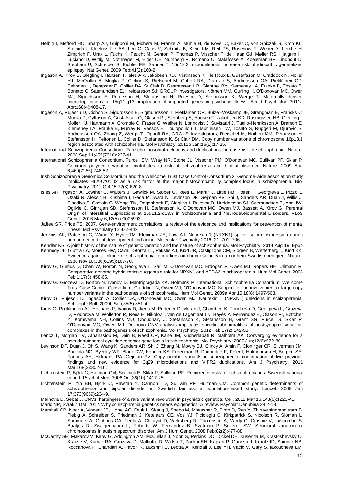- Helbig I, Mefford HC, Sharp AJ, Guipponi M, Fichera M, Franke A, Muhle H, de Kovel C, Baker C, von Spiczak S, Kron KL, Steinich I, Kleefuss-Lie AA, Leu C, Gaus V, Schmitz B, Klein KM, Reif PS, Rosenow F, Weber Y, Lerche H, Zimprich F, Urak L, Fuchs K, Feucht M, Genton P, Thomas P, Visscher F, de Haan GJ, Møller RS, Hjalgrim H, Luciano D, Wittig M, Nothnagel M, Elger CE, Nürnberg P, Romano C, Malafosse A, Koeleman BP, Lindhout D, Stephani U, Schreiber S, Eichler EE, Sander T. 15q13.3 microdeletions increase risk of idiopathic generalized epilepsy. Nat Genet. 2009 Feb;41(2):160-2.
- Ingason A, Kirov G, Giegling I, Hansen T, Isles AR, Jakobsen KD, Kristinsson KT, le Roux L, Gustafsson O, Craddock N, Möller HJ, McQuillin A, Muglia P, Cichon S, Rietschel M, Ophoff RA, Djurovic S, Andreassen OA, Pietiläinen OP, Peltonen L, Dempster E, Collier DA, St Clair D, Rasmussen HB, Glenthøj BY, Kiemeney LA, Franke B, Tosato S, Bonetto C, Saemundsen E, Hreidarsson SJ; GROUP Investigators, Nöthen MM, Gurling H, O'Donovan MC, Owen MJ, Sigurdsson E, Petursson H, Stefansson H, Rujescu D, Stefansson K, Werge T. Maternally derived microduplications at 15q11-q13: implication of imprinted genes in psychotic illness. Am J Psychiatry. 2011a Apr;168(4):408-17.
- Ingason A, Rujescu D, Cichon S, Sigurdsson E, Sigmundsson T, Pietiläinen OP, Buizer-Voskamp JE, Strengman E, Francks C, Muglia P, Gylfason A, Gustafsson O, Olason PI, Steinberg S, Hansen T, Jakobsen KD, Rasmussen HB, Giegling I, Möller HJ, Hartmann A, Crombie C, Fraser G, Walker N, Lonnqvist J, Suvisaari J, Tuulio-Henriksson A, Bramon E, Kiemeney LA, Franke B, Murray R, Vassos E, Toulopoulou T, Mühleisen TW, Tosato S, Ruggeri M, Djurovic S, Andreassen OA, Zhang Z, Werge T, Ophoff RA; GROUP Investigators, Rietschel M, Nöthen MM, Petursson H, Stefansson H, Peltonen L, Collier D, Stefansson K, St Clair DM. Copy number variations of chromosome 16p13.1 region associated with schizophrenia. Mol Psychiatry. 2011b Jan;16(1):17-25.
- International Schizophrenia Consortium. Rare chromosomal deletions and duplications increase risk of schizophrenia. Nature. 2008 Sep 11;455(7210):237-41.
- International Schizophrenia Consortium, Purcell SM, Wray NR, Stone JL, Visscher PM, O'Donovan MC, Sullivan PF, Sklar P. Common polygenic variation contributes to risk of schizophrenia and bipolar disorder. Nature. 2009 Aug 6;460(7256):748-52.
- Irish Schizophrenia Genomics Consortium and the Wellcome Trust Case Control Consortium 2. Genome-wide association study implicates HLA-C\*01:02 as a risk factor at the major histocompatibility complex locus in schizophrenia. Biol Psychiatry. 2012 Oct 15;72(8):620-8.
- Isles AR, Ingason A, Lowther C, Walters J, Gawlick M, Stöber G, Rees E, Martin J, Little RB, Potter H, Georgieva L, Pizzo L, Ozaki N, Aleksic B, Kushima I, Ikeda M, Iwata N, Levinson DF, Gejman PV, Shi J, Sanders AR, Duan J, Willis J, Sisodiya S, Costain G, Werge TM, Degenhardt F, Giegling I, Rujescu D, Hreidarsson SJ, Saemundsen E, Ahn JW, Ogilvie C, Girirajan SD, Stefansson H, Stefansson K, O'Donovan MC, Owen MJ, Bassett A, Kirov G. Parental Origin of Interstitial Duplications at 15q11.2-q13.3 in Schizophrenia and Neurodevelopmental Disorders. PLoS Genet. 2016 May 6;12(5):e1005993.
- Jaffee SR, Price TS. 2007. Gene-environment correlations: a review of the evidence and implications for prevention of mental illness. Mol Psychiatry 12:432-442.
- Jenkins AK, Paterson C, Wang Y, Hyde TM, Kleinman JE, Law AJ. Neurexin 1 (NRXN1) splice isoform expression during human neocortical development and aging. Molecular Psychiatry 2016; 21: 701–706.
- Kendler KS. A joint history of the nature of genetic variation and the nature of schizophrenia. Mol Psychiatry. 2014 Aug 19. Epub
- Kennedy JL, Giuffra LA, Moises HW, Cavalli-Sforza LL, Pakstis AJ, Kidd JR, Castiglione CM, Sjogren B, Wetterberg L, Kidd KK. Evidence against linkage of schizophrenia to markers on chromosome 5 in a northern Swedish pedigree. Nature. 1988 Nov 10;336(6195):167-70.
- Kirov G, Gumus D, Chen W, Norton N, Georgieva L, Sari M, O'Donovan MC, Erdogan F, Owen MJ, Ropers HH, Ullmann R. Comparative genome hybridization suggests a role for NRXN1 and APBA2 in schizophrenia. Hum Mol Genet. 2008 Feb 1;17(3):458-65.
- Kirov G, Grozeva D, Norton N, Ivanov D, Mantripragada KK, Holmans P; International Schizophrenia Consortium; Wellcome Trust Case Control Consortium, Craddock N, Owen MJ, O'Donovan MC. Support for the involvement of large copy number variants in the pathogenesis of schizophrenia. Hum Mol Genet. 2009a Apr 15;18(8):1497-503.
- Kirov G, Rujescu D, Ingason A, Collier DA, O'Donovan MC, Owen MJ. Neurexin 1 (NRXN1) deletions in schizophrenia. Schizophr Bull. 2009b Sep;35(5):851-4.
- Kirov G, Pocklington AJ, Holmans P, Ivanov D, Ikeda M, Ruderfer D, Moran J, Chambert K, Toncheva D, Georgieva L, Grozeva D, Fjodorova M, Wollerton R, Rees E, Nikolov I, van de Lagemaat LN, Bayés A, Fernandez E, Olason PI, Böttcher Y, Komiyama NH, Collins MO, Choudhary J, Stefansson K, Stefansson H, Grant SG, Purcell S, Sklar P, O'Donovan MC, Owen MJ. De novo CNV analysis implicates specific abnormalities of postsynaptic signalling complexes in the pathogenesis of schizophrenia. Mol Psychiatry. 2012 Feb;17(2):142-53.
- Lencz T, Morgan TV, Athanasiou M, Dain B, Reed CR, Kane JM, Kucherlapati R, Malhotra AK. Converging evidence for a pseudoautosomal cytokine receptor gene locus in schizophrenia. Mol Psychiatry. 2007 Jun;12(6):572-80.
- Levinson DF, Duan J, Oh S, Wang K, Sanders AR, Shi J, Zhang N, Mowry BJ, Olincy A, Amin F, Cloninger CR, Silverman JM, Buccola NG, Byerley WF, Black DW, Kendler KS, Freedman R, Dudbridge F, Pe'er I, Hakonarson H, Bergen SE, Fanous AH, Holmans PA, Gejman PV. Copy number variants in schizophrenia: confirmation of five previous findings and new evidence for 3q29 microdeletions and VIPR2 duplications. Am J Psychiatry. 2011 Mar;168(3):302-16.
- Lichtenstein P, Björk C, Hultman CM, Scolnick E, Sklar P, Sullivan PF. Recurrence risks for schizophrenia in a Swedish national cohort. Psychol Med. 2006 Oct;36(10):1417-25.
- Lichtenstein P, Yip BH, Björk C, Pawitan Y, Cannon TD, Sullivan PF, Hultman CM. Common genetic determinants of schizophrenia and bipolar disorder in Swedish families: a population-based study. Lancet. 2009 Jan 17;373(9659):234-9.
- Malhotra D, Sebat J. CNVs: harbingers of a rare variant revolution in psychiatric genetics. Cell. 2012 Mar 16;148(6):1223-41.

Maric NP, Svrakic DM. 2012. Why schizophrenia genetics needs epigenetics: A review. Psychiat Danubina 24:2-18.

- Marshall CR, Noor A, Vincent JB, Lionel AC, Feuk L, Skaug J, Shago M, Moessner R, Pinto D, Ren Y, Thiruvahindrapduram B, Fiebig A, Schreiber S, Friedman J, Ketelaars CE, Vos YJ, Ficicioglu C, Kirkpatrick S, Nicolson R, Sloman L, Summers A, Gibbons CA, Teebi A, Chitayat D, Weksberg R, Thompson A, Vardy C, Crosbie V, Luscombe S, Baatjes R, Zwaigenbaum L, Roberts W, Fernandez B, Szatmari P, Scherer SW. Structural variation of chromosomes in autism spectrum disorder. Am J Hum Genet. 2008 Feb;82(2):477-88.
- McCarthy SE, Makarov V, Kirov G, Addington AM, McClellan J, Yoon S, Perkins DO, Dickel DE, Kusenda M, Krastoshevsky O, Krause V, Kumar RA, Grozeva D, Malhotra D, Walsh T, Zackai EH, Kaplan P, Ganesh J, Krantz ID, Spinner NB, Roccanova P, Bhandari A, Pavon K, Lakshmi B, Leotta A, Kendall J, Lee YH, Vacic V, Gary S, Iakoucheva LM,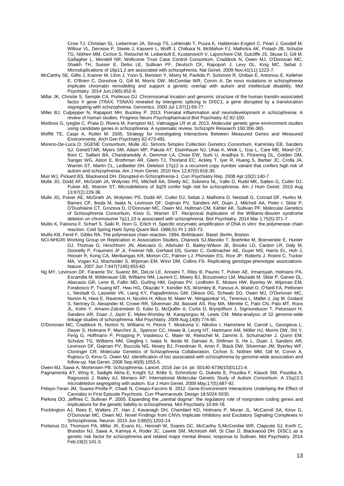Crow TJ, Christian SL, Lieberman JA, Stroup TS, Lehtimäki T, Puura K, Haldeman-Englert C, Pearl J, Goodell M, Willour VL, Derosse P, Steele J, Kassem L, Wolff J, Chitkara N, McMahon FJ, Malhotra AK, Potash JB, Schulze TG, Nöthen MM, Cichon S, Rietschel M, Leibenluft E, Kustanovich V, Lajonchere CM, Sutcliffe JS, Skuse D, Gill M, Gallagher L, Mendell NR; Wellcome Trust Case Control Consortium, Craddock N, Owen MJ, O'Donovan MC, Shaikh TH, Susser E, Delisi LE, Sullivan PF, Deutsch CK, Rapoport J, Levy DL, King MC, Sebat J. Microduplications of 16p11.2 are associated with schizophrenia. Nat Genet. 2009 Nov;41(11):1223-7.

- McCarthy SE, Gillis J, Kramer M, Lihm J, Yoon S, Berstein Y, Mistry M, Pavlidis P, Solomon R, Ghiban E, Antoniou E, Kelleher E, O'Brien C, Donohoe G, Gill M, Morris DW, McCombie WR, Corvin A. De novo mutations in schizophrenia implicate chromatin remodeling and support a genetic overlap with autism and intellectual disability. Mol Psychiatry. 2014 Jun;19(6):652-8.
- Millar JK, Christie S, Semple CA, Porteous DJ. Chromosomal location and genomic structure of the human translin-associated factor X gene (TRAX; TSNAX) revealed by intergenic splicing to DISC1, a gene disrupted by a translocation segregating with schizophrenia. Genomics. 2000 Jul 1:67(1):69-77.
- Miller BJ, Culpepper N, Rapaport MH, Buckley P. 2013. Prenatal inflammation and neurodevelopment in schizophrenia: A review of human studies. Progress Neuro Psychopharmacol Biol Psychiatry 42:92-100.
- Modinos G, Iyegbe C, Prata D, Rivera M, Kempton MJ, Valmaggia LR et al. 2013. Molecular genetic gene-environment studies using candidate genes in schizophrenia: A systematic review. Schizophr Research 150:356-365.
- Moffitt TE, Caspi A, Rutter M. 2005. Strategy for Investigating Interactions Between Measured Genes and Measured Environments. Arch Gen Psychiatry 62:473-481.
- Moreno-De-Luca D; SGENE Consortium, Mulle JG; Simons Simplex Collection Genetics Consortium, Kaminsky EB, Sanders SJ; GeneSTAR, Myers SM, Adam MP, Pakula AT, Eisenhauer NJ, Uhas K, Weik L, Guy L, Care ME, Morel CF, Boni C, Salbert BA, Chandrareddy A, Demmer LA, Chow EW, Surti U, Aradhya S, Pickering DL, Golden DM, Sanger WG, Aston E, Brothman AR, Gliem TJ, Thorland EC, Ackley T, Iyer R, Huang S, Barber JC, Crolla JA, Warren ST, Martin CL, Ledbetter DH. Deletion 17q12 is a recurrent copy number variant that confers high risk of autism and schizophrenia. Am J Hum Genet. 2010 Nov 12;87(5):618-30.
- Muir WJ, Pickard BS, Blackwood DH. Disrupted-in-Schizophrenia-1. Curr Psychiatry Rep. 2008 Apr;10(2):140-7.
- Mulle JG, Dodd AF, McGrath JA, Wolyniec PS, Mitchell AA, Shetty AC, Sobreira NL, Valle D, Rudd MK, Satten G, Cutler DJ, Pulver AE, Warren ST. Microdeletions of 3q29 confer high risk for schizophrenia. Am J Hum Genet. 2010 Aug 13;87(2):229-36.
- Mulle JG, Pulver AE, McGrath JA, Wolyniec PS, Dodd AF, Cutler DJ, Sebat J, Malhotra D, Nestadt G, Conrad DF, Hurles M, Barnes CP, Ikeda M, Iwata N, Levinson DF, Gejman PV, Sanders AR, Duan J, Mitchell AA, Peter I, Sklar P, O'Dushlaine CT, Grozeva D, O'Donovan MC, Owen MJ, Hultman CM, Kähler AK, Sullivan PF; Molecular Genetics of Schizophrenia Consortium, Kirov G, Warren ST. Reciprocal duplication of the Williams-Beuren syndrome deletion on chromosome 7q11.23 is associated with schizophrenia. Biol Psychiatry. 2014 Mar 1;75(5):371-7.
- [Mullis K,](http://www.ncbi.nlm.nih.gov/pubmed/?term=Mullis%20K%5BAuthor%5D&cauthor=true&cauthor_uid=3472723) [Faloona F,](http://www.ncbi.nlm.nih.gov/pubmed/?term=Faloona%20F%5BAuthor%5D&cauthor=true&cauthor_uid=3472723) [Scharf S,](http://www.ncbi.nlm.nih.gov/pubmed/?term=Scharf%20S%5BAuthor%5D&cauthor=true&cauthor_uid=3472723) [Saiki R,](http://www.ncbi.nlm.nih.gov/pubmed/?term=Saiki%20R%5BAuthor%5D&cauthor=true&cauthor_uid=3472723) [Horn G,](http://www.ncbi.nlm.nih.gov/pubmed/?term=Horn%20G%5BAuthor%5D&cauthor=true&cauthor_uid=3472723) [Erlich H.](http://www.ncbi.nlm.nih.gov/pubmed/?term=Erlich%20H%5BAuthor%5D&cauthor=true&cauthor_uid=3472723) Specific enzymatic amplification of DNA in vitro: the polymerase chain reaction[. Cold Spring Harb Symp Quant Biol. 1](http://www.ncbi.nlm.nih.gov/pubmed/3472723)986;51 Pt 1:263-73.
- Mullis KB, Ferré F, Gibbs RA. The polymerase chain reaction. 1994. Birkhäuser, Basel, Berlin, Boston.
- NCI-NHGRI Working Group on Replication in Association Studies, Chanock SJ,Manolio T, Boehnke M, Boerwinkle E, Hunter DJ, Thomas G, Hirschhorn JN, Abecasis G, Altshuler D, Bailey-Wilson JE, Brooks LD, Cardon LR, Daly M, Donnelly P, Fraumeni JF Jr, Freimer NB, Gerhard DS, Gunter C, Guttmacher AE, Guyer MS, Harris EL, Hoh J, Hoover R, Kong CA, Merikangas KR, Morton CC, Palmer LJ, Phimister EG, Rice JP, Roberts J, Rotimi C, Tucker MA, Vogan KJ, Wacholder S, Wijsman EM, Winn DM, Collins FS. Replicating genotype-phenotype associations. Nature. 2007 Jun 7;447(7145):655-60.
- Ng MY, Levinson DF, Faraone SV, Suarez BK, DeLisi LE, Arinami T, Riley B, Paunio T, Pulver AE, Irmansyah, Holmans PA, Escamilla M, Wildenauer DB, Williams NM, Laurent C, Mowry BJ, Brzustowicz LM, Maziade M, Sklar P, Garver DL, Abecasis GR, Lerer B, Fallin MD, Gurling HM, Gejman PV, Lindholm E, Moises HW, Byerley W, Wijsman EM, Forabosco P, Tsuang MT, Hwu HG, Okazaki Y, Kendler KS, Wormley B, Fanous A, Walsh D, O'Neill FA, Peltonen L, Nestadt G, Lasseter VK, Liang KY, Papadimitriou GM, Dikeos DG, Schwab SG, Owen MJ, O'Donovan MC, Norton N, Hare E, Raventos H, Nicolini H, Albus M, Maier W, Nimgaonkar VL, Terenius L, Mallet J, Jay M, Godard S, Nertney D, Alexander M, Crowe RR, Silverman JM, Bassett AS, Roy MA, Mérette C, Pato CN, Pato MT, Roos JL, Kohn Y, Amann-Zalcenstein D, Kalsi G, McQuillin A, Curtis D, Brynjolfson J, Sigmundsson T, Petursson H, Sanders AR, Duan J, Jazin E, Myles-Worsley M, Karayiorgou M, Lewis CM. Meta-analysis of 32 genome-wide linkage studies of schizophrenia. Mol Psychiatry. 2009 Aug;14(8):774-85.
- O'Donovan MC, Craddock N, Norton N, Williams H, Peirce T, Moskvina V, Nikolov I, Hamshere M, Carroll L, Georgieva L, Dwyer S, Holmans P, Marchini JL, Spencer CC, Howie B, Leung HT, Hartmann AM, Möller HJ, Morris DW, Shi Y, Feng G, Hoffmann P, Propping P, Vasilescu C, Maier W, Rietschel M, Zammit S, Schumacher J, Quinn EM, Schulze TG, Williams NM, Giegling I, Iwata N, Ikeda M, Darvasi A, Shifman S, He L, Duan J, Sanders AR, Levinson DF, Gejman PV, Buccola NG, Mowry BJ, Freedman R, Amin F, Black DW, Silverman JM, Byerley WF, Cloninger CR; Molecular Genetics of Schizophrenia Collaboration, Cichon S, Nöthen MM, Gill M, Corvin A, Rujescu D, Kirov G, Owen MJ. Identification of loci associated with schizophrenia by genome-wide association and follow-up. Nat Genet. 2008 Sep;40(9):1053-5.
- Owen MJ, Sawa A, Mortensen PB. Schizophrenia. Lancet. 2016 Jan 14. pii: S0140-6736(15)01121-6.
- Pagnamenta AT, Wing K, Sadighi Akha E, Knight SJ, Bölte S, Schmötzer G, Duketis E, Poustka F, Klauck SM, Poustka A, Ragoussis J, Bailey AJ, Monaco AP; International Molecular Genetic Study of Autism Consortium. A 15q13.3 microdeletion segregating with autism. Eur J Hum Genet. 2009 May;17(5):687-92.
- Pelayo-Teran JM, Suarez-Pinilla P, Chadi N, Crespo-Facorro B. 2012. Gene-Environment Interactions Underlying the Effect of Cannabis in First Episode Psychosis. Curr Pharmaceutic Design 18:5024-5035.
- Perkins DO, Jeffries C, Sullivan P. 2005. Expanding the "central dogma": the regulatory role of nonprotein coding genes and implications for the genetic liability to schizophrenia. Mol Psychiatry 10:69-78.
- Pocklington AJ, Rees E, Walters JT, Han J, Kavanagh DH, Chambert KD, Holmans P, Moran JL, McCarroll SA, Kirov G, O'Donovan MC, Owen MJ. Novel Findings from CNVs Implicate Inhibitory and Excitatory Signaling Complexes in Schizophrenia. Neuron. 2015 Jun 3;86(5):1203-14.
- Porteous DJ, Thomson PA, Millar JK, Evans KL, Hennah W, Soares DC, McCarthy S,McCombie WR, Clapcote SJ, Korth C, Brandon NJ, Sawa A, Kamiya A, Roder JC, Lawrie SM, McIntosh AM, St Clair D, Blackwood DH. DISC1 as a genetic risk factor for schizophrenia and related major mental illness: response to Sullivan. Mol Psychiatry. 2014 Feb;19(2):141-3.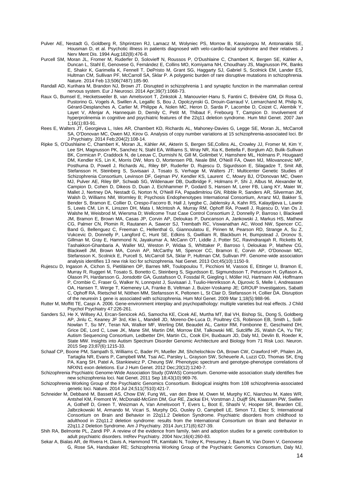- Pulver AE, Nestadt G, Goldberg R, Shprintzen RJ, Lamacz M, Wolyniec PS, Morrow B, Karayiorgou M, Antonarakis SE, Housman D, et al. Psychotic illness in patients diagnosed with velo-cardio-facial syndrome and their relatives. J Nerv Ment Dis. 1994 Aug;182(8):476-8.
- Purcell SM, Moran JL, Fromer M, Ruderfer D, Solovieff N, Roussos P, O'Dushlaine C, Chambert K, Bergen SE, Kähler A, Duncan L, Stahl E, Genovese G, Fernández E, Collins MO, Komiyama NH, Choudhary JS, Magnusson PK, Banks E, Shakir K, Garimella K, Fennell T, DePristo M, Grant SG, Haggarty SJ, Gabriel S, Scolnick EM, Lander ES, Hultman CM, Sullivan PF, McCarroll SA, Sklar P. A polygenic burden of rare disruptive mutations in schizophrenia. Nature. 2014 Feb 13;506(7487):185-90.
- Randall AD, Kurihara M, Brandon NJ, Brown JT. Disrupted in schizophrenia 1 and synaptic function in the mammalian central nervous system. Eur J Neurosci. 2014 Apr;39(7):1068-73.
- Raux G, Bumsel E, Hecketsweiler B, van Amelsvoort T, Zinkstok J, Manouvrier-Hanu S, Fantini C, Brévière GM, Di Rosa G, Pustorino G, Vogels A, Swillen A, Legallic S, Bou J, Opolczynski G, Drouin-Garraud V, Lemarchand M, Philip N, Gérard-Desplanches A, Carlier M, Philippe A, Nolen MC, Heron D, Sarda P, Lacombe D, Coizet C, Alembik Y, Layet V, Afenjar A, Hannequin D, Demily C, Petit M, Thibaut F, Frebourg T, Campion D. [Involvement of](http://www.ncbi.nlm.nih.gov/pubmed/17135275)  [hyperprolinemia in cognitive and psychiatric features of the 22q11 deletion syndrome.](http://www.ncbi.nlm.nih.gov/pubmed/17135275) Hum Mol Genet. 2007 Jan 1;16(1):83-91.
- Rees E, Walters JT, Georgieva L, Isles AR, Chambert KD, Richards AL, Mahoney-Davies G, Legge SE, Moran JL, McCarroll SA, O'Donovan MC, Owen MJ, Kirov G. Analysis of copy number variations at 15 schizophrenia-associated loci. Br J Psychiatry. 2014 Feb;204(2):108-14.
- Ripke S, O'Dushlaine C, Chambert K, Moran JL, Kähler AK, Akterin S, Bergen SE,Collins AL, Crowley JJ, Fromer M, Kim Y, Lee SH, Magnusson PK, Sanchez N, Stahl EA, Williams S, Wray NR, Xia K, Bettella F, Borglum AD, Bulik-Sullivan BK, Cormican P, Craddock N, de Leeuw C, Durmishi N, Gill M, Golimbet V, Hamshere ML, Holmans P, Hougaard DM, Kendler KS, Lin K, Morris DW, Mors O, Mortensen PB, Neale BM, O'Neill FA, Owen MJ, Milovancevic MP, Posthuma D, Powell J, Richards AL, Riley BP, Ruderfer D, Rujescu D, Sigurdsson E, Silagadze T, Smit AB, Stefansson H, Steinberg S, Suvisaari J, Tosato S, Verhage M, Walters JT; Multicenter Genetic Studies of Schizophrenia Consortium, Levinson DF, Gejman PV, Kendler KS, Laurent C, Mowry BJ, O'Donovan MC, Owen MJ, Pulver AE, Riley BP, Schwab SG, Wildenauer DB, Dudbridge F, Holmans P, Shi J, Albus M, Alexander M, Campion D, Cohen D, Dikeos D, Duan J, Eichhammer P, Godard S, Hansen M, Lerer FB, Liang KY, Maier W, Mallet J, Nertney DA, Nestadt G, Norton N, O'Neill FA, Papadimitriou GN, Ribble R, Sanders AR, Silverman JM, Walsh D, Williams NM, Wormley B; Psychosis Endophenotypes International Consortium, Arranz MJ, Bakker S, Bender S, Bramon E, Collier D, Crespo-Facorro B, Hall J, Iyegbe C, Jablensky A, Kahn RS, Kalaydjieva L, Lawrie S, Lewis CM, Lin K, Linszen DH, Mata I, McIntosh A, Murray RM, Ophoff RA, Powell J, Rujescu D, Van Os J, Walshe M, Weisbrod M, Wiersma D; Wellcome Trust Case Control Consortium 2, Donnelly P, Barroso I, Blackwell JM, Bramon E, Brown MA, Casas JP, Corvin AP, Deloukas P, Duncanson A, Jankowski J, Markus HS, Mathew CG, Palmer CN, Plomin R, Rautanen A, Sawcer SJ, Trembath RC, Viswanathan AC, Wood NW, Spencer CC, Band G, Bellenguez C, Freeman C, Hellenthal G, Giannoulatou E, Pirinen M, Pearson RD, Strange A, Su Z, Vukcevic D, Donnelly P, Langford C, Hunt SE, Edkins S, Gwilliam R, Blackburn H, Bumpstead J, Dronov S, Gillman M, Gray E, Hammond N, Jayakumar A, McCann OT, Liddle J, Potter SC, Ravindrarajah R, Ricketts M, Tashakkori-Ghanbaria A, Waller MJ, Weston P, Widaa S, Whittaker P, Barroso I, Deloukas P, Mathew CG, Blackwell JM, Brown MA, Corvin AP, McCarthy MI, Spencer CC, Bramon E, Corvin AP, O'Donovan MC, Stefansson K, Scolnick E, Purcell S, McCarroll SA, Sklar P, Hultman CM, Sullivan PF. Genome-wide association analysis identifies 13 new risk loci for schizophrenia. Nat Genet. 2013 Oct;45(10):1150-9.
- Rujescu D, Ingason A, Cichon S, Pietiläinen OP, Barnes MR, Toulopoulou T, Picchioni M, Vassos E, Ettinger U, Bramon E, Murray R, Ruggeri M, Tosato S, Bonetto C, Steinberg S, Sigurdsson E, Sigmundsson T, Petursson H, Gylfason A, Olason PI, Hardarsson G, Jonsdottir GA, Gustafsson O, Fossdal R, Giegling I, Möller HJ, Hartmann AM, Hoffmann P, Crombie C, Fraser G, Walker N, Lonnqvist J, Suvisaari J, Tuulio-Henriksson A, Djurovic S, Melle I, Andreassen OA, Hansen T, Werge T, Kiemeney LA, Franke B, Veltman J, Buizer-Voskamp JE; GROUP Investigators, Sabatti C, Ophoff RA, Rietschel M, Nöthen MM, Stefansson K, Peltonen L, St Clair D, Stefansson H, Collier DA. Disruption of the neurexin 1 gene is associated with schizophrenia. Hum Mol Genet. 2009 Mar 1;18(5):988-96.
- Rutter M, Moffitt TE, Caspi A. 2006. Gene-environment interplay and psychopathology: multiple varieties but real effects. J Child Psychol Psychiatry 47:226-261.
- Sanders SJ, He X, Willsey AJ, Ercan-Sencicek AG, Samocha KE, Cicek AE, Murtha MT, Bal VH, Bishop SL, Dong S, Goldberg AP, Jinlu C, Keaney JF 3rd, Klei L, Mandell JD, Moreno-De-Luca D, Poultney CS, Robinson EB, Smith L, Solli-Nowlan T, Su MY, Teran NA, Walker MF, Werling DM, Beaudet AL, Cantor RM, Fombonne E, Geschwind DH, Grice DE, Lord C, Lowe JK, Mane SM, Martin DM, Morrow EM, Talkowski ME, Sutcliffe JS, Walsh CA, Yu TW; Autism Sequencing Consortium, Ledbetter DH, Martin CL, Cook EH, Buxbaum JD, Daly MJ, Devlin B, Roeder K, State MW. Insights into Autism Spectrum Disorder Genomic Architecture and Biology from 71 Risk Loci. Neuron. 2015 Sep 23;87(6):1215-33.
- Schaaf CP, Boone PM, Sampath S, Williams C, Bader PI, Mueller JM, Shchelochkov OA, Brown CW, Crawford HP, Phalen JA, Tartaglia NR, Evans P, Campbell WM, Tsai AC, Parsley L, Grayson SW, Scheuerle A, Luzzi CD, Thomas SK, Eng PA, Kang SH, Patel A, Stankiewicz P, Cheung SW. Phenotypic spectrum and genotype-phenotype correlations of NRXN1 exon deletions. Eur J Hum Genet. 2012 Dec;20(12):1240-7.
- Schizophrenia Psychiatric Genome-Wide Association Study (GWAS) Consortium. Genome-wide association study identifies five new schizophrenia loci. Nat Genet. 2011 Sep 18;43(10):969-76.
- Schizophrenia Working Group of the Psychiatric Genomics Consortium. Biological insights from 108 schizophrenia-associated genetic loci. Nature. 2014 Jul 24;511(7510):421-7.
- Schneider M, Debbané M, Bassett AS, Chow EW, Fung WL, van den Bree M, Owen M, Murphy KC, Niarchou M, Kates WR, Antshel KM, Fremont W, McDonald-McGinn DM, Gur RE, Zackai EH, Vorstman J, Duijff SN, Klaassen PW, Swillen A, Gothelf D, Green T, Weizman A, Van Amelsvoort T, Evers L, Boot E, Shashi V, Hooper SR, Bearden CE, Jalbrzikowski M, Armando M, Vicari S, Murphy DG, Ousley O, Campbell LE, Simon TJ, Eliez S; International Consortium on Brain and Behavior in 22q11.2 Deletion Syndrome. Psychiatric disorders from childhood to adulthood in 22q11.2 deletion syndrome: results from the International Consortium on Brain and Behavior in 22q11.2 Deletion Syndrome. Am J Psychiatry. 2014 Jun;171(6):627-39.
- Shih RA, Belmonte PL, Zandi PP. A review of the evidence from family, twin and adoption studies for a genetic contribution to adult psychiatric disorders. IntRev Psychiatry. 2004 Nov;16(4):260-83.
- Sekar A, Bialas AR, de Rivera H, Davis A, Hammond TR, Kamitaki N, Tooley K, Presumey J, Baum M, Van Doren V, Genovese G, Rose SA, Handsaker RE; Schizophrenia Working Group of the Psychiatric Genomics Consortium, Daly MJ,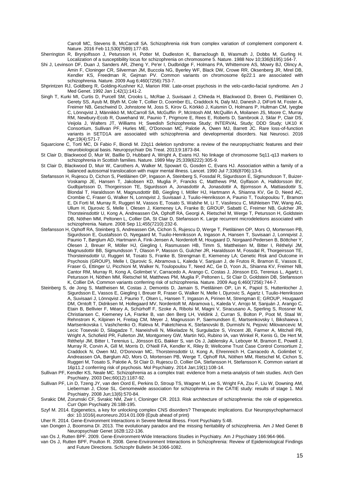Carroll MC, Stevens B, McCarroll SA. Schizophrenia risk from complex variation of complement component 4. Nature. 2016 Feb 11;530(7589):177-83.

Sherrington R, Brynjolfsson J, Petursson H, Potter M, Dudleston K, Barraclough B, Wasmuth J, Dobbs M, Gurling H. Localization of a susceptibility locus for schizophrenia on chromosome 5. Nature. 1988 Nov 10;336(6195):164-7.

- Shi J, Levinson DF, Duan J, Sanders AR, Zheng Y, Pe'er I, Dudbridge F, Holmans PA, Whittemore AS, Mowry BJ, Olincy A, Amin F, Cloninger CR, Silverman JM, Buccola NG, Byerley WF, Black DW, Crowe RR, Oksenberg JR, Mirel DB, Kendler KS, Freedman R, Gejman PV. Common variants on chromosome 6p22.1 are associated with schizophrenia. Nature. 2009 Aug 6;460(7256):753-7.
- Shprintzen RJ, Goldberg R, Golding-Kushner KJ, Marion RW. Late-onset psychosis in the velo-cardio-facial syndrome. Am J Med Genet. 1992 Jan 1;42(1):141-2.
- Singh T, Kurki MI, Curtis D, Purcell SM, Crooks L, McRae J, Suvisaari J, Chheda H, Blackwood D, Breen G, Pietiläinen O, Gerety SS, Ayub M, Blyth M, Cole T, Collier D, Coomber EL, Craddock N, Daly MJ, Danesh J, DiForti M, Foster A, Freimer NB, Geschwind D, Johnstone M, Joss S, Kirov G, Körkkö J, Kuismin O, Holmans P, Hultman CM, Iyegbe C, Lönnqvist J, Männikkö M, McCarroll SA, McGuffin P, McIntosh AM, McQuillin A, Moilanen JS, Moore C, Murray RM, Newbury-Ecob R, Ouwehand W, Paunio T, Prigmore E, Rees E, Roberts D, Sambrook J, Sklar P, Clair DS, Veijola J, Walters JT, Williams H; Swedish Schizophrenia Study; INTERVAL Study; DDD Study; UK10 K Consortium, Sullivan PF, Hurles ME, O'Donovan MC, Palotie A, Owen MJ, Barrett JC. Rare loss-of-function variants in SETD1A are associated with schizophrenia and developmental disorders. Nat Neurosci. 2016 Apr;19(4):571-7.
- Squarcione C, Torti MC, Di Fabio F, Biondi M. 22q11 deletion syndrome: a review of the neuropsychiatric features and their neurobiological basis. Neuropsychiatr Dis Treat. 2013;9:1873-84.
- St Clair D, Blackwood D, Muir W, Baillie D, Hubbard A, Wright A, Evans HJ. No linkage of chromosome 5q11-q13 markers to schizophrenia in Scottish families. Nature. 1989 May 25;339(6222):305-9.
- St Clair D, Blackwood D, Muir W, Carothers A, Walker M, Spowart G, Gosden C, Evans HJ. Association within a family of a balanced autosomal translocation with major mental illness. Lancet. 1990 Jul 7;336(8706):13-6.
- Stefansson H, Rujescu D, Cichon S, Pietiläinen OP, Ingason A, Steinberg S, Fossdal R, Sigurdsson E, Sigmundsson T, Buizer-Voskamp JE, Hansen T, Jakobsen KD, Muglia P, Francks C, Matthews PM, Gylfason A, Halldorsson BV, Gudbjartsson D, Thorgeirsson TE, Sigurdsson A, Jonasdottir A, Jonasdottir A, Bjornsson A, Mattiasdottir S, Blondal T, Haraldsson M, Magnusdottir BB, Giegling I, Möller HJ, Hartmann A, Shianna KV, Ge D, Need AC, Crombie C, Fraser G, Walker N, Lonnqvist J, Suvisaari J, Tuulio-Henriksson A, Paunio T, Toulopoulou T, Bramon E, Di Forti M, Murray R, Ruggeri M, Vassos E, Tosato S, Walshe M, Li T, Vasilescu C, Mühleisen TW, Wang AG, Ullum H, Djurovic S, Melle I, Olesen J, Kiemeney LA, Franke B; GROUP, Sabatti C, Freimer NB, Gulcher JR, Thorsteinsdottir U, Kong A, Andreassen OA, Ophoff RA, Georgi A, Rietschel M, Werge T, Petursson H, Goldstein DB, Nöthen MM, Peltonen L, Collier DA, St Clair D, Stefansson K. Large recurrent microdeletions associated with schizophrenia. Nature. 2008 Sep 11;455(7210):232-6.
- Stefansson H, Ophoff RA, Steinberg S, Andreassen OA, Cichon S, Rujescu D, Werge T, Pietiläinen OP, Mors O, Mortensen PB, Sigurdsson E, Gustafsson O, Nyegaard M, Tuulio-Henriksson A, Ingason A, Hansen T, Suvisaari J, Lonnqvist J, Paunio T, Børglum AD, Hartmann A, Fink-Jensen A, Nordentoft M, Hougaard D, Norgaard-Pedersen B, Böttcher Y, Olesen J, Breuer R, Möller HJ, Giegling I, Rasmussen HB, Timm S, Mattheisen M, Bitter I, Réthelyi JM, Magnusdottir BB, Sigmundsson T, Olason P, Masson G, Gulcher JR, Haraldsson M, Fossdal R, Thorgeirsson TE, Thorsteinsdottir U, Ruggeri M, Tosato S, Franke B, Strengman E, Kiemeney LA; Genetic Risk and Outcome in Psychosis (GROUP), Melle I, Djurovic S, Abramova L, Kaleda V, Sanjuan J, de Frutos R, Bramon E, Vassos E, Fraser G, Ettinger U, Picchioni M, Walker N, Toulopoulou T, Need AC, Ge D, Yoon JL, Shianna KV, Freimer NB, Cantor RM, Murray R, Kong A, Golimbet V, Carracedo A, Arango C, Costas J, Jönsson EG, Terenius L, Agartz I, Petursson H, Nöthen MM, Rietschel M, Matthews PM, Muglia P, Peltonen L, St Clair D, Goldstein DB, Stefansson K, Collier DA. Common variants conferring risk of schizophrenia. Nature. 2009 Aug 6;460(7256):744-7.
- Steinberg S, de Jong S, Mattheisen M, Costas J, Demontis D, Jamain S, Pietiläinen OP, Lin K, Papiol S, Huttenlocher J, Sigurdsson E, Vassos E, Giegling I, Breuer R, Fraser G, Walker N, Melle I, Djurovic S, Agartz I, Tuulio-Henriksson A, Suvisaari J, Lönnqvist J, Paunio T, Olsen L, Hansen T, Ingason A, Pirinen M, Strengman E; GROUP, Hougaard DM, Orntoft T, Didriksen M, Hollegaard MV, Nordentoft M, Abramova L, Kaleda V, Arrojo M, Sanjuán J, Arango C, Etain B, Bellivier F, Méary A, Schürhoff F, Szoke A, Ribolsi M, Magni V, Siracusano A, Sperling S, Rossner M, Christiansen C, Kiemeney LA, Franke B, van den Berg LH, Veldink J, Curran S, Bolton P, Poot M, Staal W, Rehnstrom K, Kilpinen H, Freitag CM, Meyer J, Magnusson P, Saemundsen E, Martsenkovsky I, Bikshaieva I, Martsenkovska I, Vashchenko O, Raleva M, Paketchieva K, Stefanovski B, Durmishi N, Pejovic Milovancevic M, Lecic Tosevski D, Silagadze T, Naneishvili N, Mikeladze N, Surguladze S, Vincent JB, Farmer A, Mitchell PB, Wright A, Schofield PR, Fullerton JM, Montgomery GW, Martin NG, Rubino IA, van Winkel R, Kenis G, De Hert M, Réthelyi JM, Bitter I, Terenius L, Jönsson EG, Bakker S, van Os J, Jablensky A, Leboyer M, Bramon E, Powell J, Murray R, Corvin A, Gill M, Morris D, O'Neill FA, Kendler K, Riley B; Wellcome Trust Case Control Consortium 2, Craddock N, Owen MJ, O'Donovan MC, Thorsteinsdottir U, Kong A, Ehrenreich H, Carracedo A, Golimbet V, Andreassen OA, Børglum AD, Mors O, Mortensen PB, Werge T, Ophoff RA, Nöthen MM, Rietschel M, Cichon S, Ruggeri M, Tosato S, Palotie A, St Clair D, Rujescu D, Collier DA, Stefansson H, Stefansson K. Common variant at 16p11.2 conferring risk of psychosis. Mol Psychiatry. 2014 Jan;19(1):108-14.
- Sullivan PF, Kendler KS, Neale MC. Schizophrenia as a complex trait: evidence from a meta-analysis of twin studies. Arch Gen Psychiatry. 2003 Dec;60(12):1187-92.
- Sullivan PF, Lin D, Tzeng JY, van den Oord E, Perkins D, Stroup TS, Wagner M, Lee S, Wright FA, Zou F, Liu W, Downing AM, Lieberman J, Close SL. Genomewide association for schizophrenia in the CATIE study: results of stage 1. Mol Psychiatry. 2008 Jun;13(6):570-84.
- Svrakic DM, Zorumski CF, Svrakic NM, Zwir I, Cloninger CR. 2013. Risk architecture of schizophrenia: the role of epigenetics. Curr Opin Psychiatry 26:188-195.
- Szyf M. 2014. Epigenetics, a key for unlocking complex CNS disorders? Therapeutic implications. Eur Neuropsychopharmacol doi: 10.1016/j.euroneuro.2014.01.009 (Epub ahead of print)
- Uher R. 2014. Gene-Environment Interactions in Severe Mental Illness. Front Psychiatry 5:48.
- van Dongen J, Boomsma DI. 2013. The evolutionary paradox and the missing heritability of schizophrenia. Am J Med Genet B Neuropsychiatr Genet 162B:122-136.
- van Os J, Rutten BPF. 2009. Gene-Environment-Wide Interactions Studies in Psychiatry. Am J Psychiatry 166:964-966.
- van Os J, Rutten BPF, Poulton R. 2008. Gene-Environment Interactions in Schizophrenia: Review of Epidemiological Findings and Future Directions. Schizophr Bulletin 34:1066-1082.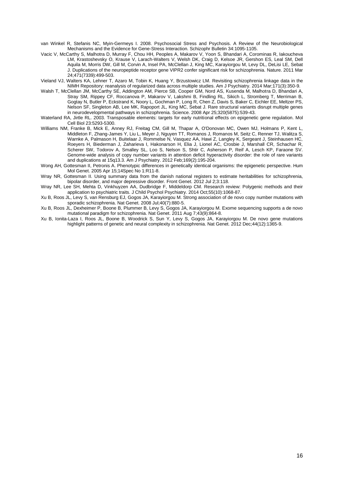van Winkel R, Stefanis NC, Myin-Germeys I. 2008. Psychosocial Stress and Psychosis. A Review of the Neurobiological Mechanisms and the Evidence for Gene-Stress Interaction. Schizophr Bulletin 34:1095-1105.

- Vacic V, McCarthy S, Malhotra D, Murray F, Chou HH, Peoples A, Makarov V, Yoon S, Bhandari A, Corominas R, Iakoucheva LM, Krastoshevsky O, Krause V, Larach-Walters V, Welsh DK, Craig D, Kelsoe JR, Gershon ES, Leal SM, Dell Aquila M, Morris DW, Gill M, Corvin A, Insel PA, McClellan J, King MC, Karayiorgou M, Levy DL, DeLisi LE, Sebat J. Duplications of the neuropeptide receptor gene VIPR2 confer significant risk for schizophrenia. Nature. 2011 Mar 24;471(7339):499-503.
- Vieland VJ, Walters KA, Lehner T, Azaro M, Tobin K, Huang Y, Brzustowicz LM. Revisiting schizophrenia linkage data in the NIMH Repository: reanalysis of regularized data across multiple studies. Am J Psychiatry. 2014 Mar;171(3):350-9.
- Walsh T, McClellan JM, McCarthy SE, Addington AM, Pierce SB, Cooper GM, Nord AS, Kusenda M, Malhotra D, Bhandari A, Stray SM, Rippey CF, Roccanova P, Makarov V, Lakshmi B, Findling RL, Sikich L, Stromberg T, Merriman B, Gogtay N, Butler P, Eckstrand K, Noory L, Gochman P, Long R, Chen Z, Davis S, Baker C, Eichler EE, Meltzer PS, Nelson SF, Singleton AB, Lee MK, Rapoport JL, King MC, Sebat J. Rare structural variants disrupt multiple genes in neurodevelopmental pathways in schizophrenia. Science. 2008 Apr 25;320(5875):539-43.
- Waterland RA, Jirtle RL. 2003. Transposable elements: targets for early nutritional effects on epigenetic gene regulation. Mol Cell Biol 23:5293-5300.
- Williams NM, Franke B, Mick E, Anney RJ, Freitag CM, Gill M, Thapar A, O'Donovan MC, Owen MJ, Holmans P, Kent L, Middleton F, Zhang-James Y, Liu L, Meyer J, Nguyen TT, Romanos J, Romanos M, Seitz C, Renner TJ, Walitza S, Warnke A, Palmason H, Buitelaar J, Rommelse N, Vasquez AA, Hawi Z, Langley K, Sergeant J, Steinhausen HC, Roeyers H, Biederman J, Zaharieva I, Hakonarson H, Elia J, Lionel AC, Crosbie J, Marshall CR, Schachar R, Scherer SW, Todorov A, Smalley SL, Loo S, Nelson S, Shtir C, Asherson P, Reif A, Lesch KP, Faraone SV. Genome-wide analysis of copy number variants in attention deficit hyperactivity disorder: the role of rare variants and duplications at 15q13.3. Am J Psychiatry. 2012 Feb;169(2):195-204.
- Wong AH, Gottesman II, Petronis A. Phenotypic differences in genetically identical organisms: the epigenetic perspective. Hum Mol Genet. 2005 Apr 15;14Spec No 1:R11-8.
- Wray NR, Gottesman II. Using summary data from the danish national registers to estimate heritabilities for schizophrenia, bipolar disorder, and major depressive disorder. Front Genet. 2012 Jul 2;3:118.
- Wray NR, Lee SH, Mehta D, Vinkhuyzen AA, Dudbridge F, Middeldorp CM. Research review: Polygenic methods and their application to psychiatric traits. J Child Psychol Psychiatry. 2014 Oct;55(10):1068-87.
- Xu B, Roos JL, Levy S, van Rensburg EJ, Gogos JA, Karayiorgou M. Strong association of de novo copy number mutations with sporadic schizophrenia. Nat Genet. 2008 Jul;40(7):880-5.
- Xu B, Roos JL, Dexheimer P, Boone B, Plummer B, Levy S, Gogos JA, Karayiorgou M. Exome sequencing supports a de novo mutational paradigm for schizophrenia. Nat Genet. 2011 Aug 7;43(9):864-8.
- Xu B, Ionita-Laza I, Roos JL, Boone B, Woodrick S, Sun Y, Levy S, Gogos JA, Karayiorgou M. De novo gene mutations highlight patterns of genetic and neural complexity in schizophrenia. Nat Genet. 2012 Dec;44(12):1365-9.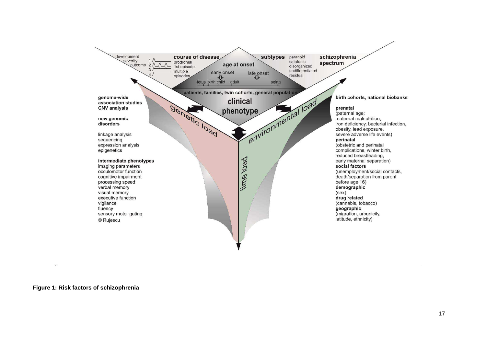

 $\overline{\mathcal{F}}$